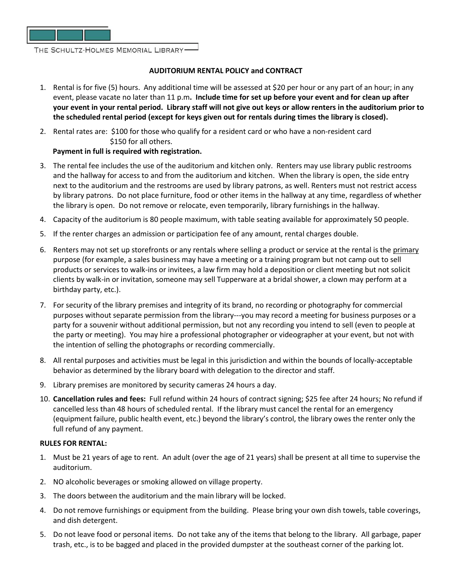

THE SCHULTZ-HOLMES MEMORIAL LIBRARY-

## **AUDITORIUM RENTAL POLICY and CONTRACT**

- 1. Rental is for five (5) hours. Any additional time will be assessed at \$20 per hour or any part of an hour; in any event, please vacate no later than 11 p.m**. Include time for set up before your event and for clean up after your event in your rental period. Library staff will not give out keys or allow renters in the auditorium prior to the scheduled rental period (except for keys given out for rentals during times the library is closed).**
- 2. Rental rates are: \$100 for those who qualify for a resident card or who have a non-resident card \$150 for all others.

## **Payment in full is required with registration.**

- 3. The rental fee includes the use of the auditorium and kitchen only. Renters may use library public restrooms and the hallway for access to and from the auditorium and kitchen. When the library is open, the side entry next to the auditorium and the restrooms are used by library patrons, as well. Renters must not restrict access by library patrons. Do not place furniture, food or other items in the hallway at any time, regardless of whether the library is open. Do not remove or relocate, even temporarily, library furnishings in the hallway.
- 4. Capacity of the auditorium is 80 people maximum, with table seating available for approximately 50 people.
- 5. If the renter charges an admission or participation fee of any amount, rental charges double.
- 6. Renters may not set up storefronts or any rentals where selling a product or service at the rental is the primary purpose (for example, a sales business may have a meeting or a training program but not camp out to sell products or services to walk-ins or invitees, a law firm may hold a deposition or client meeting but not solicit clients by walk-in or invitation, someone may sell Tupperware at a bridal shower, a clown may perform at a birthday party, etc.).
- 7. For security of the library premises and integrity of its brand, no recording or photography for commercial purposes without separate permission from the library---you may record a meeting for business purposes or a party for a souvenir without additional permission, but not any recording you intend to sell (even to people at the party or meeting). You may hire a professional photographer or videographer at your event, but not with the intention of selling the photographs or recording commercially.
- 8. All rental purposes and activities must be legal in this jurisdiction and within the bounds of locally-acceptable behavior as determined by the library board with delegation to the director and staff.
- 9. Library premises are monitored by security cameras 24 hours a day.
- 10. **Cancellation rules and fees:** Full refund within 24 hours of contract signing; \$25 fee after 24 hours; No refund if cancelled less than 48 hours of scheduled rental. If the library must cancel the rental for an emergency (equipment failure, public health event, etc.) beyond the library's control, the library owes the renter only the full refund of any payment.

## **RULES FOR RENTAL:**

- 1. Must be 21 years of age to rent. An adult (over the age of 21 years) shall be present at all time to supervise the auditorium.
- 2. NO alcoholic beverages or smoking allowed on village property.
- 3. The doors between the auditorium and the main library will be locked.
- 4. Do not remove furnishings or equipment from the building. Please bring your own dish towels, table coverings, and dish detergent.
- 5. Do not leave food or personal items. Do not take any of the items that belong to the library. All garbage, paper trash, etc., is to be bagged and placed in the provided dumpster at the southeast corner of the parking lot.